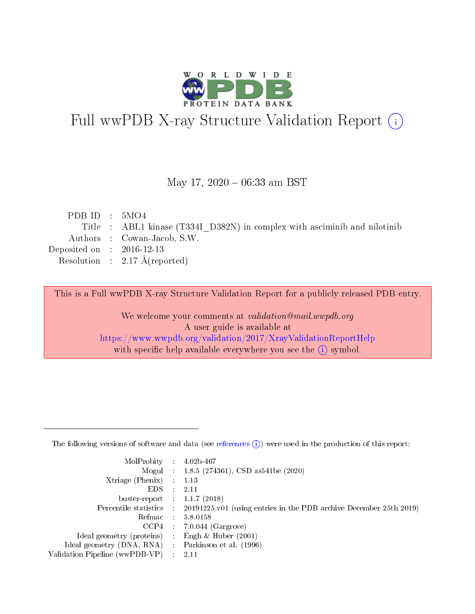

# Full wwPDB X-ray Structure Validation Report (i)

#### May 17,  $2020 - 06:33$  am BST

| PDB ID : $5MO4$             |                                                                           |
|-----------------------------|---------------------------------------------------------------------------|
|                             | Title : ABL1 kinase (T334I D382N) in complex with asciminib and nilotinib |
|                             | Authors : Cowan-Jacob, S.W.                                               |
| Deposited on : $2016-12-13$ |                                                                           |
|                             | Resolution : $2.17 \text{ Å}$ (reported)                                  |
|                             |                                                                           |

This is a Full wwPDB X-ray Structure Validation Report for a publicly released PDB entry.

We welcome your comments at validation@mail.wwpdb.org A user guide is available at <https://www.wwpdb.org/validation/2017/XrayValidationReportHelp> with specific help available everywhere you see the  $(i)$  symbol.

The following versions of software and data (see [references](https://www.wwpdb.org/validation/2017/XrayValidationReportHelp#references)  $(1)$ ) were used in the production of this report:

| MolProbity :                   |               | $4.02b - 467$                                                               |
|--------------------------------|---------------|-----------------------------------------------------------------------------|
|                                |               | Mogul : $1.8.5$ (274361), CSD as 541be (2020)                               |
| $X$ triage (Phenix) :          |               | 1.13                                                                        |
| EDS.                           |               | 2.11                                                                        |
| buster-report : $1.1.7$ (2018) |               |                                                                             |
| Percentile statistics :        |               | $20191225 \text{v}01$ (using entries in the PDB archive December 25th 2019) |
| Refmac :                       |               | 5.8.0158                                                                    |
| $CCP4$ :                       |               | $7.0.044$ (Gargrove)                                                        |
| Ideal geometry (proteins) :    |               | Engh $\&$ Huber (2001)                                                      |
| Ideal geometry (DNA, RNA) :    |               | Parkinson et al. (1996)                                                     |
| Validation Pipeline (wwPDB-VP) | $\mathcal{L}$ | 2.11                                                                        |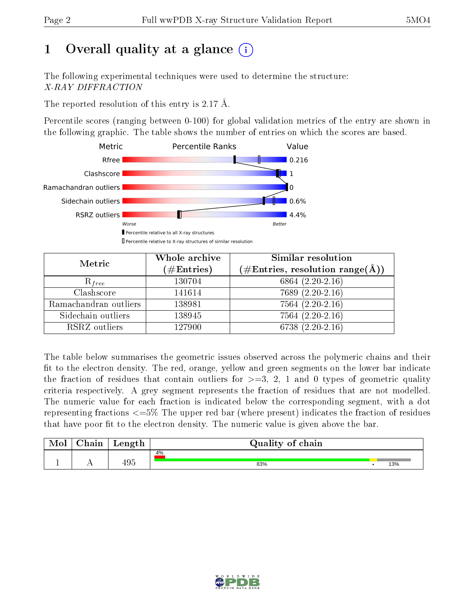# 1 [O](https://www.wwpdb.org/validation/2017/XrayValidationReportHelp#overall_quality)verall quality at a glance  $(i)$

The following experimental techniques were used to determine the structure: X-RAY DIFFRACTION

The reported resolution of this entry is 2.17 Å.

Percentile scores (ranging between 0-100) for global validation metrics of the entry are shown in the following graphic. The table shows the number of entries on which the scores are based.



| Metric                | Whole archive<br>$(\#\text{Entries})$ | Similar resolution<br>$(\#\text{Entries}, \text{resolution range}(\text{\AA}))$ |
|-----------------------|---------------------------------------|---------------------------------------------------------------------------------|
| $R_{free}$            | 130704                                | 6864 $(2.20-2.16)$                                                              |
| Clashscore            | 141614                                | $7689(2.20-2.16)$                                                               |
| Ramachandran outliers | 138981                                | $7564(2.20-2.16)$                                                               |
| Sidechain outliers    | 138945                                | $7564(2.20-2.16)$                                                               |
| RSRZ outliers         | 127900                                | 6738 $(2.20-2.16)$                                                              |

The table below summarises the geometric issues observed across the polymeric chains and their fit to the electron density. The red, orange, yellow and green segments on the lower bar indicate the fraction of residues that contain outliers for  $>=3, 2, 1$  and 0 types of geometric quality criteria respectively. A grey segment represents the fraction of residues that are not modelled. The numeric value for each fraction is indicated below the corresponding segment, with a dot representing fractions  $\epsilon=5\%$  The upper red bar (where present) indicates the fraction of residues that have poor fit to the electron density. The numeric value is given above the bar.

| Mol | $\cap$ hain | Length | Quality of chain |     |
|-----|-------------|--------|------------------|-----|
|     |             |        | 4%               |     |
|     |             | 495    | 83%              | 13% |

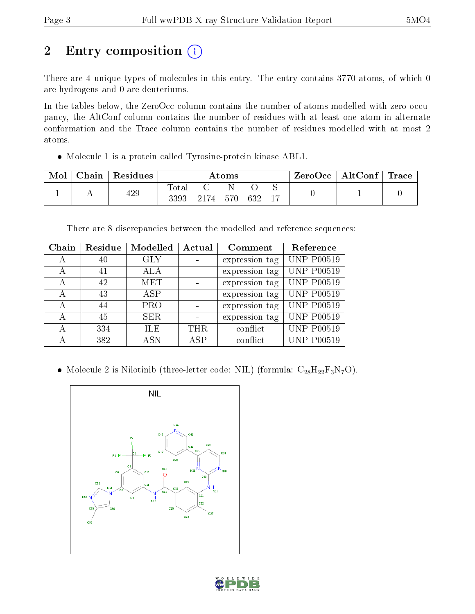# 2 Entry composition (i)

There are 4 unique types of molecules in this entry. The entry contains 3770 atoms, of which 0 are hydrogens and 0 are deuteriums.

In the tables below, the ZeroOcc column contains the number of atoms modelled with zero occupancy, the AltConf column contains the number of residues with at least one atom in alternate conformation and the Trace column contains the number of residues modelled with at most 2 atoms.

Molecule 1 is a protein called Tyrosine-protein kinase ABL1.

| Mol | Chain | Residues | Atoms         |     |     |     |    | $ZeroOcc \   \ AltConf \  $ | $\bf{Trace}$ |
|-----|-------|----------|---------------|-----|-----|-----|----|-----------------------------|--------------|
|     |       | 429      | Totar<br>3393 | 174 | 570 | 632 | 17 |                             |              |

There are 8 discrepancies between the modelled and reference sequences:

| Chain | Residue | Modelled   | Actual | Comment        | Reference         |
|-------|---------|------------|--------|----------------|-------------------|
| А     | 40      | GLY        |        | expression tag | <b>UNP P00519</b> |
| А     | 41      | ALA        |        | expression tag | <b>UNP P00519</b> |
| А     | 42      | MET        |        | expression tag | <b>UNP P00519</b> |
| А     | 43      | ASP        |        | expression tag | <b>UNP P00519</b> |
| А     | 44      | <b>PRO</b> |        | expression tag | <b>UNP P00519</b> |
| А     | 45      | <b>SER</b> |        | expression tag | <b>UNP P00519</b> |
| А     | 334     | <b>ILE</b> | THR.   | conflict       | <b>UNP P00519</b> |
| А     | 382     | <b>ASN</b> | ASP    | conflict       | <b>UNP P00519</b> |

• Molecule 2 is Nilotinib (three-letter code: NIL) (formula:  $C_{28}H_{22}F_3N_7O$ ).



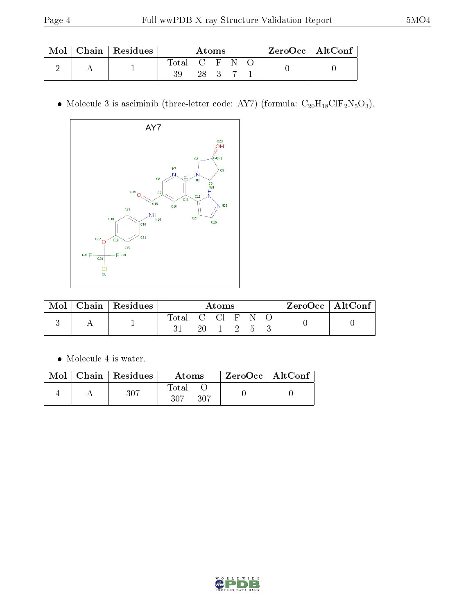| Mol | Chain   Residues | Atoms       |      |  |  |  | $\mid$ ZeroOcc $\mid$ AltConf $\mid$ |  |
|-----|------------------|-------------|------|--|--|--|--------------------------------------|--|
|     |                  | Total C F N | 28 3 |  |  |  |                                      |  |

 $\bullet$  Molecule 3 is asciminib (three-letter code: AY7) (formula:  $\rm{C}_{20}H_{18}ClF_2N_5O_3).$ 



| Mol | $Chain   Residues$ | Atoms                   |  |                                      |  |  | ZeroOcc   AltConf |  |  |
|-----|--------------------|-------------------------|--|--------------------------------------|--|--|-------------------|--|--|
|     |                    | Total C Cl F N $\Omega$ |  | $20 \quad 1 \quad 2 \quad 5 \quad 3$ |  |  |                   |  |  |

Molecule 4 is water.

|  | $\blacksquare$ Mol $\vert$ Chain $\vert$ Residues $\vert$ | Atoms                | ZeroOcc   AltConf |  |
|--|-----------------------------------------------------------|----------------------|-------------------|--|
|  | 307                                                       | Total<br>307<br>-307 |                   |  |

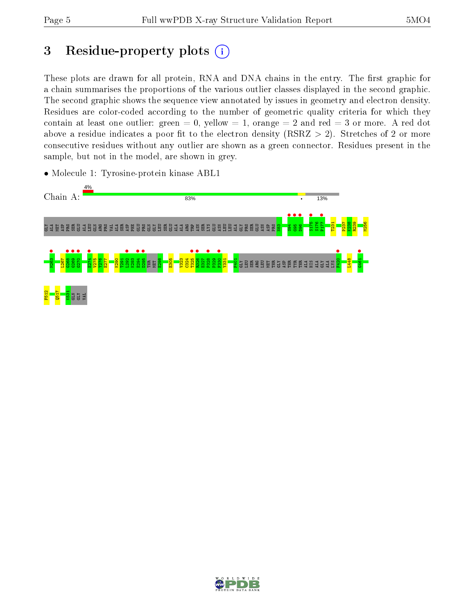# 3 Residue-property plots  $(i)$

These plots are drawn for all protein, RNA and DNA chains in the entry. The first graphic for a chain summarises the proportions of the various outlier classes displayed in the second graphic. The second graphic shows the sequence view annotated by issues in geometry and electron density. Residues are color-coded according to the number of geometric quality criteria for which they contain at least one outlier: green  $= 0$ , yellow  $= 1$ , orange  $= 2$  and red  $= 3$  or more. A red dot above a residue indicates a poor fit to the electron density (RSRZ  $> 2$ ). Stretches of 2 or more consecutive residues without any outlier are shown as a green connector. Residues present in the sample, but not in the model, are shown in grey.



• Molecule 1: Tyrosine-protein kinase ABL1

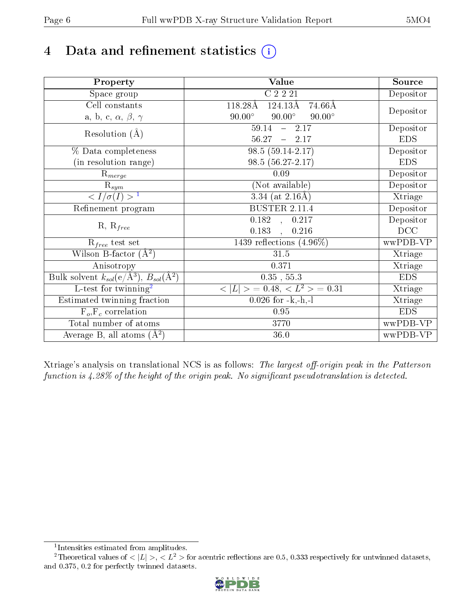# 4 Data and refinement statistics  $(i)$

| Property                                                             | <b>Value</b>                                    | Source     |
|----------------------------------------------------------------------|-------------------------------------------------|------------|
| Space group                                                          | C2221                                           | Depositor  |
| Cell constants                                                       | 118.28Å<br>$124.13\text{\AA}$<br>74.66Å         |            |
| a, b, c, $\alpha$ , $\beta$ , $\gamma$                               | $90.00^\circ$<br>$90.00^\circ$<br>$90.00^\circ$ | Depositor  |
| Resolution $(A)$                                                     | 59.14<br>$-2.17$                                | Depositor  |
|                                                                      | 56.27<br>$-2.17$                                | <b>EDS</b> |
| % Data completeness                                                  | 98.5 (59.14-2.17)                               | Depositor  |
| (in resolution range)                                                | $98.5(56.27-2.17)$                              | <b>EDS</b> |
| $R_{merge}$                                                          | 0.09                                            | Depositor  |
| $\mathrm{R}_{sym}$                                                   | (Not available)                                 | Depositor  |
| $\langle I/\sigma(I) \rangle^{-1}$                                   | $\overline{3.34}$ (at 2.16Å)                    | Xtriage    |
| Refinement program                                                   | <b>BUSTER 2.11.4</b>                            | Depositor  |
| $R, R_{free}$                                                        | $\overline{0.182}$ ,<br>0.217                   | Depositor  |
|                                                                      | 0.183<br>$\ddot{\phantom{0}}$<br>0.216          | DCC        |
| $R_{free}$ test set                                                  | 1439 reflections $(4.96\%)$                     | wwPDB-VP   |
| Wilson B-factor $(A^2)$                                              | 31.5                                            | Xtriage    |
| Anisotropy                                                           | 0.371                                           | Xtriage    |
| Bulk solvent $k_{sol}(e/\mathring{A}^3)$ , $B_{sol}(\mathring{A}^2)$ | $0.35$ , $55.3$                                 | <b>EDS</b> |
| L-test for twinning <sup>2</sup>                                     | $>$ = 0.48, < $L^2$ > = 0.31<br>< L             | Xtriage    |
| Estimated twinning fraction                                          | $0.026$ for $-k,-h,-l$                          | Xtriage    |
| $F_o, F_c$ correlation                                               | 0.95                                            | <b>EDS</b> |
| Total number of atoms                                                | 3770                                            | wwPDB-VP   |
| Average B, all atoms $(A^2)$                                         | 36.0                                            | wwPDB-VP   |

Xtriage's analysis on translational NCS is as follows: The largest off-origin peak in the Patterson function is  $4.28\%$  of the height of the origin peak. No significant pseudotranslation is detected.

<sup>&</sup>lt;sup>2</sup>Theoretical values of  $\langle |L| \rangle$ ,  $\langle L^2 \rangle$  for acentric reflections are 0.5, 0.333 respectively for untwinned datasets, and 0.375, 0.2 for perfectly twinned datasets.



<span id="page-5-1"></span><span id="page-5-0"></span><sup>1</sup> Intensities estimated from amplitudes.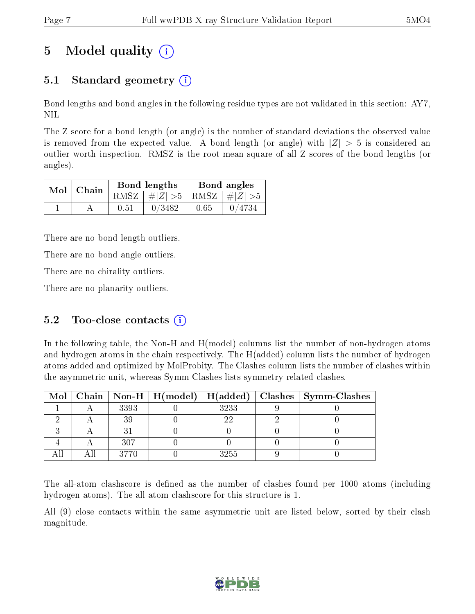# 5 Model quality  $(i)$

## 5.1 Standard geometry  $(i)$

Bond lengths and bond angles in the following residue types are not validated in this section: AY7, NIL

The Z score for a bond length (or angle) is the number of standard deviations the observed value is removed from the expected value. A bond length (or angle) with  $|Z| > 5$  is considered an outlier worth inspection. RMSZ is the root-mean-square of all Z scores of the bond lengths (or angles).

| $Mol$   Chain |      | Bond lengths                    | Bond angles |                      |  |
|---------------|------|---------------------------------|-------------|----------------------|--|
|               |      | RMSZ $ #Z  > 5$ RMSZ $ #Z  > 5$ |             |                      |  |
|               | 0.51 | 0/3482                          | 0.65        | $\frac{1}{2}$ 0/4734 |  |

There are no bond length outliers.

There are no bond angle outliers.

There are no chirality outliers.

There are no planarity outliers.

### 5.2 Too-close contacts  $(i)$

In the following table, the Non-H and H(model) columns list the number of non-hydrogen atoms and hydrogen atoms in the chain respectively. The H(added) column lists the number of hydrogen atoms added and optimized by MolProbity. The Clashes column lists the number of clashes within the asymmetric unit, whereas Symm-Clashes lists symmetry related clashes.

|  |      |      | Mol   Chain   Non-H   H(model)   H(added)   Clashes   Symm-Clashes |
|--|------|------|--------------------------------------------------------------------|
|  | 3393 | 3233 |                                                                    |
|  |      |      |                                                                    |
|  |      |      |                                                                    |
|  | 307  |      |                                                                    |
|  | 3770 | 3255 |                                                                    |

The all-atom clashscore is defined as the number of clashes found per 1000 atoms (including hydrogen atoms). The all-atom clashscore for this structure is 1.

All (9) close contacts within the same asymmetric unit are listed below, sorted by their clash magnitude.

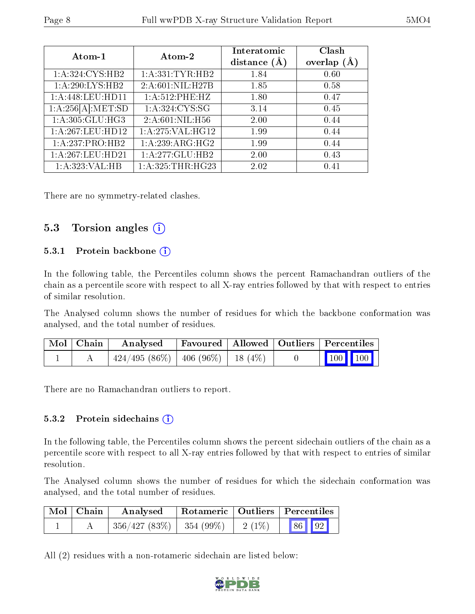| Atom-1            | Atom-2              | Interatomic<br>distance $(A)$ | Clash<br>overlap $(A)$ |  |
|-------------------|---------------------|-------------------------------|------------------------|--|
| 1:A:324:CYS:HB2   | 1: A: 331: TYR: HB2 | 1.84                          | 0.60                   |  |
| 1:A:290:LYS:HB2   | 2:A:601:NIL:H27B    | 1.85                          | 0.58                   |  |
| 1:A:448:LEU:HD11  | $1: A:512:$ PHE:HZ  | 1.80                          | 0.47                   |  |
| 1:A:256[A]:MET:SD | 1: A:324: CYS:SG    | 3.14                          | 0.45                   |  |
| 1: A:305: GLU:HG3 | 2:A:601:NIL:H56     | 2.00                          | 0.44                   |  |
| 1:A:267:LEU:HD12  | $1:$ A:275:VAL:HG12 | 1.99                          | 0.44                   |  |
| 1:A:237:PRO:HB2   | 1:A:239:ARG:HG2     | 1.99                          | 0.44                   |  |
| 1:A:267:LEU:HD21  | 1:A:277:GLU:HB2     | 2.00                          | 0.43                   |  |
| 1:A:323:VAL:HB    | 1: A:325:THR:HG23   | 2.02                          | 0.41                   |  |

There are no symmetry-related clashes.

### 5.3 Torsion angles (i)

#### 5.3.1 Protein backbone (i)

In the following table, the Percentiles column shows the percent Ramachandran outliers of the chain as a percentile score with respect to all X-ray entries followed by that with respect to entries of similar resolution.

The Analysed column shows the number of residues for which the backbone conformation was analysed, and the total number of residues.

| Mol   Chain | Analysed                                 | Favoured   Allowed   Outliers   Percentiles |  |                 |  |
|-------------|------------------------------------------|---------------------------------------------|--|-----------------|--|
|             | $424/495 (86\%)$   406 (96\%)   18 (4\%) |                                             |  | $\vert$ 100 100 |  |

There are no Ramachandran outliers to report.

#### $5.3.2$  Protein sidechains  $(i)$

In the following table, the Percentiles column shows the percent sidechain outliers of the chain as a percentile score with respect to all X-ray entries followed by that with respect to entries of similar resolution.

The Analysed column shows the number of residues for which the sidechain conformation was analysed, and the total number of residues.

| $\mid$ Mol $\mid$ Chain | Analysed                               |  | Rotameric   Outliers   Percentiles |  |  |
|-------------------------|----------------------------------------|--|------------------------------------|--|--|
|                         | $356/427(83\%)$   $354(99\%)$   2(1\%) |  | 86 92                              |  |  |

All (2) residues with a non-rotameric sidechain are listed below:

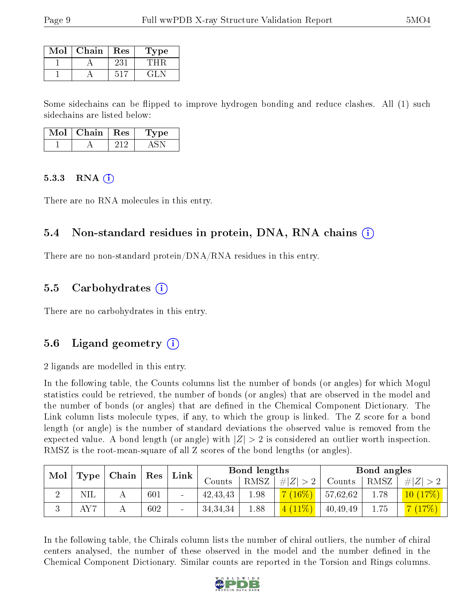| $\operatorname{Mol}$ | Chain | $\operatorname{Res}% \left( \mathcal{N}\right) \equiv\operatorname{Res}(\mathcal{N}_{0})\cap\operatorname{Res}(\mathcal{N}_{0})$ | Type |
|----------------------|-------|----------------------------------------------------------------------------------------------------------------------------------|------|
|                      |       | -23 i                                                                                                                            |      |
|                      |       |                                                                                                                                  | -21  |

Some sidechains can be flipped to improve hydrogen bonding and reduce clashes. All (1) such sidechains are listed below:

| Mol | Chain | $\parallel$ Res | L'vpe |
|-----|-------|-----------------|-------|
|     |       |                 |       |

#### $5.3.3$  RNA  $(i)$

There are no RNA molecules in this entry.

#### 5.4 Non-standard residues in protein, DNA, RNA chains (i)

There are no non-standard protein/DNA/RNA residues in this entry.

#### 5.5 Carbohydrates (i)

There are no carbohydrates in this entry.

### 5.6 Ligand geometry  $(i)$

2 ligands are modelled in this entry.

In the following table, the Counts columns list the number of bonds (or angles) for which Mogul statistics could be retrieved, the number of bonds (or angles) that are observed in the model and the number of bonds (or angles) that are dened in the Chemical Component Dictionary. The Link column lists molecule types, if any, to which the group is linked. The Z score for a bond length (or angle) is the number of standard deviations the observed value is removed from the expected value. A bond length (or angle) with  $|Z| > 2$  is considered an outlier worth inspection. RMSZ is the root-mean-square of all Z scores of the bond lengths (or angles).

| Mol |            | Chain |     |                          | ${\rm Link}$ |      | Bond lengths |          |      | Bond angles |  |
|-----|------------|-------|-----|--------------------------|--------------|------|--------------|----------|------|-------------|--|
|     | Type       |       | Res |                          | Counts       | RMSZ | # $ Z  > 2$  | Counts   | RMSZ | # $ Z  > 2$ |  |
| ↵   | <b>NIL</b> |       | 601 | $\overline{\phantom{a}}$ | 42, 43, 43   | 1.98 | $(16\%)$     | 57,62,62 | 1.78 | 10(17%)     |  |
| ιJ  |            |       | 602 | $\overline{\phantom{a}}$ | 34, 34, 34   | 1.88 | $11\%$       | 40,49,49 | 1.75 |             |  |

In the following table, the Chirals column lists the number of chiral outliers, the number of chiral centers analysed, the number of these observed in the model and the number defined in the Chemical Component Dictionary. Similar counts are reported in the Torsion and Rings columns.

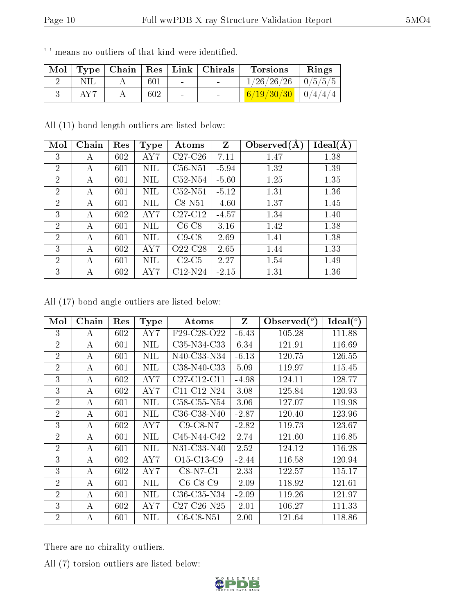|     |     |        | Mol   Type   Chain   Res   Link   Chirals | <b>Torsions</b>                | Rings |
|-----|-----|--------|-------------------------------------------|--------------------------------|-------|
|     | 601 |        |                                           | $\frac{1}{26}/26/26$   0/5/5/5 |       |
| AY7 | 602 | $\sim$ |                                           | $6/19/30/30$   $0/4/4/4$       |       |

'-' means no outliers of that kind were identified.

All (11) bond length outliers are listed below:

| Mol            | Chain | Res | <b>Type</b> | Atoms     | Z       | Observed $(A)$ | Ideal(A) |
|----------------|-------|-----|-------------|-----------|---------|----------------|----------|
| 3              | А     | 602 | AY 7        | $C27-C26$ | 7.11    | 1.47           | 1.38     |
| $\overline{2}$ | А     | 601 | NIL         | $C56-N51$ | $-5.94$ | 1.32           | 1.39     |
| $\overline{2}$ | А     | 601 | ΝIL         | $C52-N54$ | $-5.60$ | 1.25           | 1.35     |
| $\overline{2}$ | A     | 601 | NIL         | $C52-N51$ | $-5.12$ | 1.31           | 1.36     |
| $\overline{2}$ | A     | 601 | ΝIL         | $C8-N51$  | $-4.60$ | 1.37           | 1.45     |
| 3              | А     | 602 | AY 7        | $C27-C12$ | $-4.57$ | 1.34           | 1.40     |
| $\overline{2}$ | А     | 601 | NIL         | $C6-C8$   | 3.16    | 1.42           | 1.38     |
| $\overline{2}$ | А     | 601 | NIL         | $C9-C8$   | 2.69    | 1.41           | 1.38     |
| 3              | А     | 602 | AY7         | O22-C28   | 2.65    | 1.44           | 1.33     |
| $\overline{2}$ | А     | 601 | ΝIL         | $C2-C5$   | 2.27    | 1.54           | 1.49     |
| 3              | А     | 602 | AY 7        | C12-N24   | $-2.15$ | 1.31           | 1.36     |

All (17) bond angle outliers are listed below:

| Mol            | Chain | Res | <b>Type</b> | Atoms                                            | Z       | $\text{Observed}(^o)$ | Ideal $(^\circ)$ |
|----------------|-------|-----|-------------|--------------------------------------------------|---------|-----------------------|------------------|
| 3              | А     | 602 | AY 7        | F29-C28-O22                                      | $-6.43$ | 105.28                | 111.88           |
| $\overline{2}$ | А     | 601 | NIL         | C35-N34-C33                                      | 6.34    | 121.91                | 116.69           |
| $\overline{2}$ | А     | 601 | NIL         | N40-C33-N34                                      | $-6.13$ | 120.75                | 126.55           |
| $\overline{2}$ | А     | 601 | NIL         | C38-N40-C33                                      | 5.09    | 119.97                | 115.45           |
| 3              | А     | 602 | AY7         | $C27-C12-C11$                                    | $-4.98$ | 124.11                | 128.77           |
| 3              | А     | 602 | AY 7        | $C11-C12-N24$                                    | 3.08    | 125.84                | 120.93           |
| $\overline{2}$ | А     | 601 | NIL         | C58-C55-N54                                      | 3.06    | 127.07                | 119.98           |
| $\overline{2}$ | А     | 601 | NIL         | C36-C38-N40                                      | $-2.87$ | 120.40                | 123.96           |
| 3              | А     | 602 | AY7         | $C9$ -C8-N7                                      | $-2.82$ | 119.73                | 123.67           |
| $\overline{2}$ | А     | 601 | <b>NIL</b>  | C45-N44-C42                                      | 2.74    | 121.60                | 116.85           |
| $\overline{2}$ | А     | 601 | NIL         | N31-C33-N40                                      | 2.52    | 124.12                | 116.28           |
| 3              | А     | 602 | AY7         | O <sub>15</sub> -C <sub>13</sub> -C <sub>9</sub> | $-2.44$ | 116.58                | 120.94           |
| 3              | А     | 602 | AY7         | $C8-N7-C1$                                       | 2.33    | 122.57                | 115.17           |
| $\overline{2}$ | А     | 601 | <b>NIL</b>  | $C6-C8-C9$                                       | $-2.09$ | 118.92                | 121.61           |
| $\overline{2}$ | А     | 601 | NIL         | $C36-C35-N34$                                    | $-2.09$ | 119.26                | 121.97           |
| 3              | А     | 602 | AY 7        | C27-C26-N25                                      | $-2.01$ | 106.27                | 111.33           |
| $\overline{2}$ | А     | 601 | NIL         | $C6$ - $C8$ - $N51$                              | 2.00    | 121.64                | 118.86           |

There are no chirality outliers.

All (7) torsion outliers are listed below:

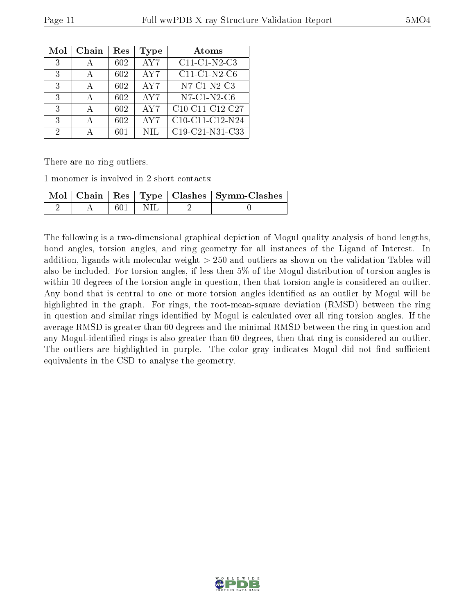| Mol | Chain | Res | Type | Atoms                                |
|-----|-------|-----|------|--------------------------------------|
| 3   | А     | 602 | AY7  | $C11-C1-N2-C3$                       |
| 3   | А     | 602 | AY7  | $C11-C1-N2-C6$                       |
| 3   |       | 602 | AY7  | N7-C1-N2-C3                          |
| 3   | А     | 602 | AY7  | $N7-C1-N2-C6$                        |
| 3   |       | 602 | AY7  | C10-C11-C12-C27                      |
| 3   | А     | 602 | AY7  | $\overline{\text{C10-C11}}$ -C12-N24 |
| 2   |       | 601 | NIL. | C19-C21-N31-C33                      |

There are no ring outliers.

1 monomer is involved in 2 short contacts:

|  |      |  | Mol   Chain   Res   Type   Clashes   Symm-Clashes |
|--|------|--|---------------------------------------------------|
|  | -601 |  |                                                   |

The following is a two-dimensional graphical depiction of Mogul quality analysis of bond lengths, bond angles, torsion angles, and ring geometry for all instances of the Ligand of Interest. In addition, ligands with molecular weight > 250 and outliers as shown on the validation Tables will also be included. For torsion angles, if less then 5% of the Mogul distribution of torsion angles is within 10 degrees of the torsion angle in question, then that torsion angle is considered an outlier. Any bond that is central to one or more torsion angles identified as an outlier by Mogul will be highlighted in the graph. For rings, the root-mean-square deviation (RMSD) between the ring in question and similar rings identified by Mogul is calculated over all ring torsion angles. If the average RMSD is greater than 60 degrees and the minimal RMSD between the ring in question and any Mogul-identified rings is also greater than 60 degrees, then that ring is considered an outlier. The outliers are highlighted in purple. The color gray indicates Mogul did not find sufficient equivalents in the CSD to analyse the geometry.

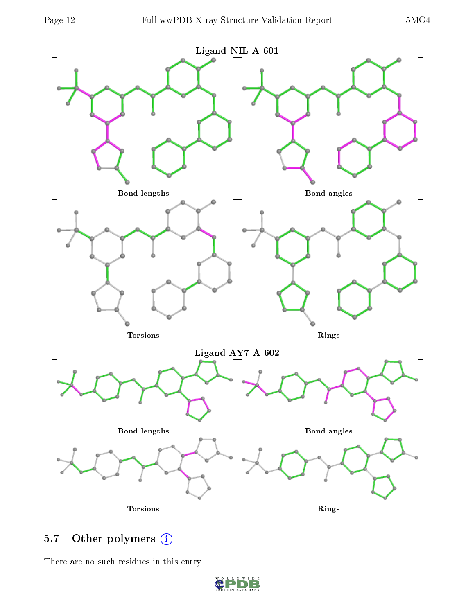

## 5.7 [O](https://www.wwpdb.org/validation/2017/XrayValidationReportHelp#nonstandard_residues_and_ligands)ther polymers (i)

There are no such residues in this entry.

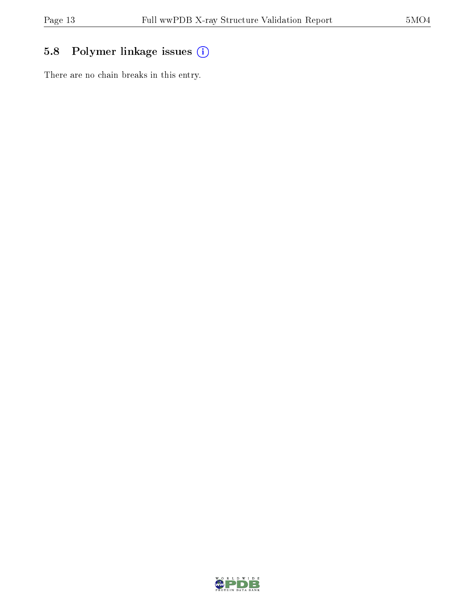## 5.8 Polymer linkage issues (i)

There are no chain breaks in this entry.

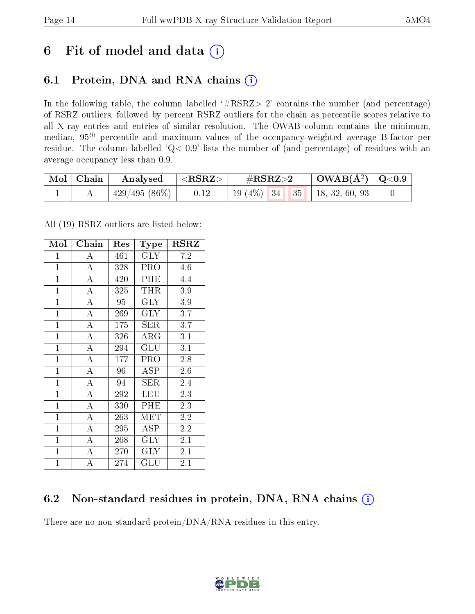## 6 Fit of model and data  $(i)$

### 6.1 Protein, DNA and RNA chains  $(i)$

In the following table, the column labelled  $#RSRZ> 2'$  contains the number (and percentage) of RSRZ outliers, followed by percent RSRZ outliers for the chain as percentile scores relative to all X-ray entries and entries of similar resolution. The OWAB column contains the minimum, median,  $95<sup>th</sup>$  percentile and maximum values of the occupancy-weighted average B-factor per residue. The column labelled ' $Q< 0.9$ ' lists the number of (and percentage) of residues with an average occupancy less than 0.9.

| $\mid$ Mol $\mid$ Chain | $\mid$ Analysed $\mid$ <rsrz></rsrz> | $\#\text{RSRZ}{>}2$                 | $\vert$ OWAB(Å <sup>2</sup> ) $\vert$ Q<0.9 |  |
|-------------------------|--------------------------------------|-------------------------------------|---------------------------------------------|--|
|                         | $429/495(86\%)$   0.12               | 19 (4\%)   34   35   18, 32, 60, 93 |                                             |  |

All (19) RSRZ outliers are listed below:

| Mol            | Chain              | Res<br><b>Type</b> |                       | <b>RSRZ</b> |
|----------------|--------------------|--------------------|-----------------------|-------------|
| $\overline{1}$ | A                  | 461                | <b>GLY</b>            | 7.2         |
| $\mathbf{1}$   | $\overline{\rm A}$ | 328                | <b>PRO</b>            | 4.6         |
| $\overline{1}$ | $\overline{\rm A}$ | 420                | PHE                   | 4.4         |
| $\mathbf{1}$   | $\overline{\rm A}$ | 325                | THR                   | 3.9         |
| $\overline{1}$ | $\overline{\rm A}$ | 95                 | <b>GLY</b>            | 3.9         |
| $\overline{1}$ | $\bf{A}$           | 269                | $\rm GLY$             | 3.7         |
| $\overline{1}$ | $\overline{\rm A}$ | 175                | SER                   | 3.7         |
| $\overline{1}$ | $\overline{A}$     | 326                | $\overline{\rm{ARG}}$ | 3.1         |
| $\mathbf{1}$   | $\overline{\rm A}$ | 294                | GLU                   | 3.1         |
| $\mathbf{1}$   | $\overline{\rm A}$ | 177                | PRO                   | 2.8         |
| $\mathbf{1}$   | $\boldsymbol{A}$   | 96                 | ASP                   | 2.6         |
| $\mathbf{1}$   | $\overline{\rm A}$ | 94                 | SER                   | 2.4         |
| $\overline{1}$ | $\overline{\rm A}$ | 292                | LEU                   | 2.3         |
| $\overline{1}$ | $\overline{\rm A}$ | 330                | PHE                   | 2.3         |
| $\mathbf{1}$   | $\overline{\rm A}$ | 263                | MET                   | 2.2         |
| $\mathbf{1}$   | $\overline{\rm A}$ | 295                | <b>ASP</b>            | 2.2         |
| $\mathbf{1}$   | A                  | 268                | $\rm GLY$             | 2.1         |
| $\mathbf{1}$   | $\overline{A}$     | 270                | $\rm GLY$             | 2.1         |
| $\overline{1}$ | А                  | 274                | $\operatorname{GLU}$  | 2.1         |

### 6.2 Non-standard residues in protein, DNA, RNA chains  $(i)$

There are no non-standard protein/DNA/RNA residues in this entry.

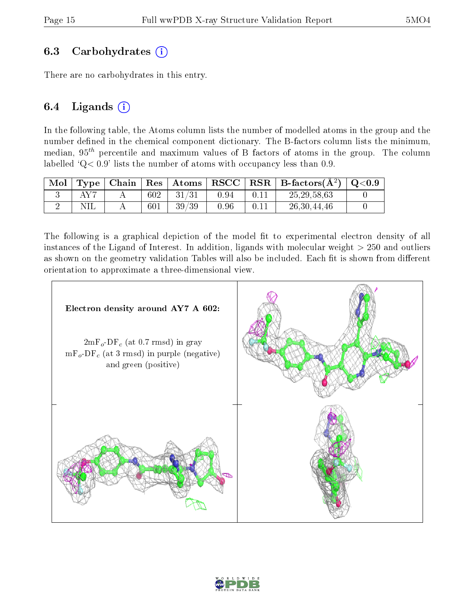#### 6.3 Carbohydrates  $(i)$

There are no carbohydrates in this entry.

### 6.4 Ligands  $(i)$

In the following table, the Atoms column lists the number of modelled atoms in the group and the number defined in the chemical component dictionary. The B-factors column lists the minimum, median,  $95<sup>th</sup>$  percentile and maximum values of B factors of atoms in the group. The column labelled  $Q < 0.9$ ' lists the number of atoms with occupancy less than 0.9.

| Mol | Type <sub>1</sub> |     |       |      |      | $\vert$ Chain $\vert$ Res $\vert$ Atoms $\vert$ RSCC $\vert$ RSR $\vert$ B-factors(A <sup>2</sup> ) $\vert$ Q<0.9 |  |
|-----|-------------------|-----|-------|------|------|-------------------------------------------------------------------------------------------------------------------|--|
|     | $\Delta$ V $7$    | 602 | 31/31 | 0.94 | 0.11 | 25, 29, 58, 63                                                                                                    |  |
|     |                   | 601 | 39/39 | 0.96 | 0.11 | 26,30,44,46                                                                                                       |  |

The following is a graphical depiction of the model fit to experimental electron density of all instances of the Ligand of Interest. In addition, ligands with molecular weight  $> 250$  and outliers as shown on the geometry validation Tables will also be included. Each fit is shown from different orientation to approximate a three-dimensional view.